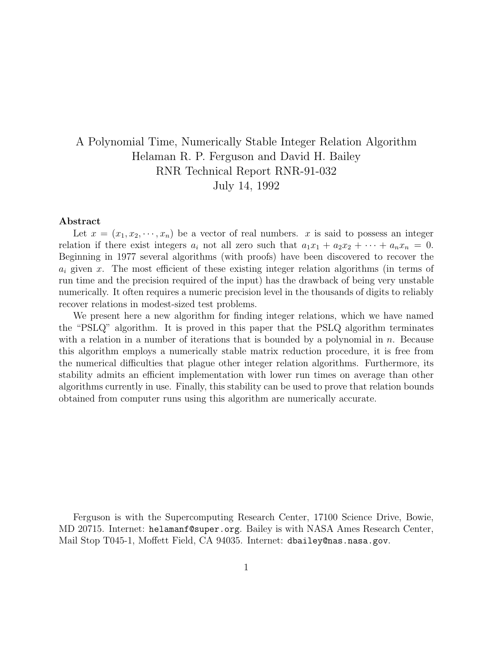# A Polynomial Time, Numerically Stable Integer Relation Algorithm Helaman R. P. Ferguson and David H. Bailey RNR Technical Report RNR-91-032 July 14, 1992

### **Abstract**

Let  $x = (x_1, x_2, \dots, x_n)$  be a vector of real numbers. x is said to possess an integer relation if there exist integers  $a_i$  not all zero such that  $a_1x_1 + a_2x_2 + \cdots + a_nx_n = 0$ . Beginning in 1977 several algorithms (with proofs) have been discovered to recover the  $a_i$  given x. The most efficient of these existing integer relation algorithms (in terms of run time and the precision required of the input) has the drawback of being very unstable numerically. It often requires a numeric precision level in the thousands of digits to reliably recover relations in modest-sized test problems.

We present here a new algorithm for finding integer relations, which we have named the "PSLQ" algorithm. It is proved in this paper that the PSLQ algorithm terminates with a relation in a number of iterations that is bounded by a polynomial in  $n$ . Because this algorithm employs a numerically stable matrix reduction procedure, it is free from the numerical difficulties that plague other integer relation algorithms. Furthermore, its stability admits an efficient implementation with lower run times on average than other algorithms currently in use. Finally, this stability can be used to prove that relation bounds obtained from computer runs using this algorithm are numerically accurate.

Ferguson is with the Supercomputing Research Center, 17100 Science Drive, Bowie, MD 20715. Internet: helamanf@super.org. Bailey is with NASA Ames Research Center, Mail Stop T045-1, Moffett Field, CA 94035. Internet: dbailey@nas.nasa.gov.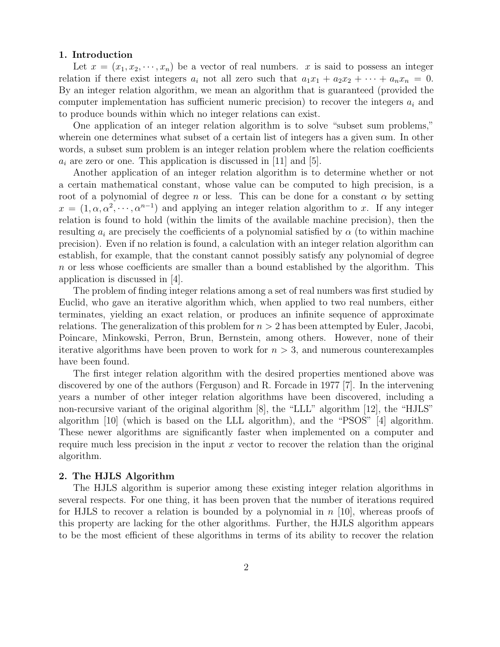#### **1. Introduction**

Let  $x = (x_1, x_2, \dots, x_n)$  be a vector of real numbers. x is said to possess an integer relation if there exist integers  $a_i$  not all zero such that  $a_1x_1 + a_2x_2 + \cdots + a_nx_n = 0$ . By an integer relation algorithm, we mean an algorithm that is guaranteed (provided the computer implementation has sufficient numeric precision) to recover the integers  $a_i$  and to produce bounds within which no integer relations can exist.

One application of an integer relation algorithm is to solve "subset sum problems," wherein one determines what subset of a certain list of integers has a given sum. In other words, a subset sum problem is an integer relation problem where the relation coefficients  $a_i$  are zero or one. This application is discussed in [11] and [5].

Another application of an integer relation algorithm is to determine whether or not a certain mathematical constant, whose value can be computed to high precision, is a root of a polynomial of degree n or less. This can be done for a constant  $\alpha$  by setting  $x = (1, \alpha, \alpha^2, \dots, \alpha^{n-1})$  and applying an integer relation algorithm to x. If any integer relation is found to hold (within the limits of the available machine precision), then the resulting  $a_i$  are precisely the coefficients of a polynomial satisfied by  $\alpha$  (to within machine precision). Even if no relation is found, a calculation with an integer relation algorithm can establish, for example, that the constant cannot possibly satisfy any polynomial of degree  $n$  or less whose coefficients are smaller than a bound established by the algorithm. This application is discussed in [4].

The problem of finding integer relations among a set of real numbers was first studied by Euclid, who gave an iterative algorithm which, when applied to two real numbers, either terminates, yielding an exact relation, or produces an infinite sequence of approximate relations. The generalization of this problem for  $n > 2$  has been attempted by Euler, Jacobi, Poincare, Minkowski, Perron, Brun, Bernstein, among others. However, none of their iterative algorithms have been proven to work for  $n > 3$ , and numerous counterexamples have been found.

The first integer relation algorithm with the desired properties mentioned above was discovered by one of the authors (Ferguson) and R. Forcade in 1977 [7]. In the intervening years a number of other integer relation algorithms have been discovered, including a non-recursive variant of the original algorithm [8], the "LLL" algorithm [12], the "HJLS" algorithm [10] (which is based on the LLL algorithm), and the "PSOS" [4] algorithm. These newer algorithms are significantly faster when implemented on a computer and require much less precision in the input  $x$  vector to recover the relation than the original algorithm.

# **2. The HJLS Algorithm**

The HJLS algorithm is superior among these existing integer relation algorithms in several respects. For one thing, it has been proven that the number of iterations required for HJLS to recover a relation is bounded by a polynomial in  $n$  [10], whereas proofs of this property are lacking for the other algorithms. Further, the HJLS algorithm appears to be the most efficient of these algorithms in terms of its ability to recover the relation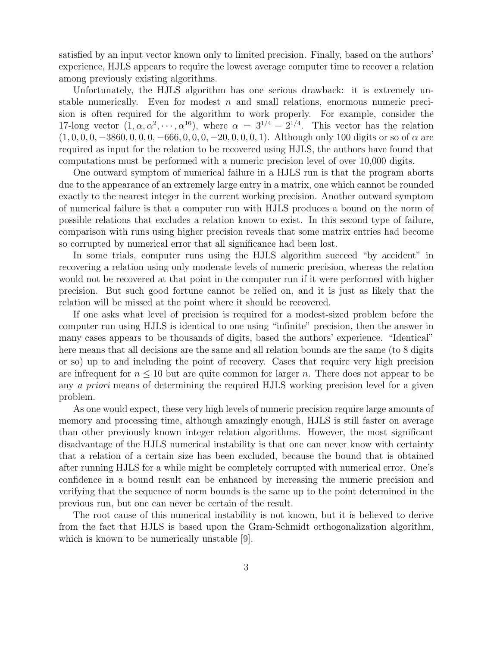satisfied by an input vector known only to limited precision. Finally, based on the authors' experience, HJLS appears to require the lowest average computer time to recover a relation among previously existing algorithms.

Unfortunately, the HJLS algorithm has one serious drawback: it is extremely unstable numerically. Even for modest  $n$  and small relations, enormous numeric precision is often required for the algorithm to work properly. For example, consider the 17-long vector  $(1, \alpha, \alpha^2, \dots, \alpha^{16})$ , where  $\alpha = 3^{1/4} - 2^{1/4}$ . This vector has the relation  $(1, 0, 0, 0, -3860, 0, 0, 0, -666, 0, 0, 0, -20, 0, 0, 0, 1)$ . Although only 100 digits or so of  $\alpha$  are required as input for the relation to be recovered using HJLS, the authors have found that computations must be performed with a numeric precision level of over 10,000 digits.

One outward symptom of numerical failure in a HJLS run is that the program aborts due to the appearance of an extremely large entry in a matrix, one which cannot be rounded exactly to the nearest integer in the current working precision. Another outward symptom of numerical failure is that a computer run with HJLS produces a bound on the norm of possible relations that excludes a relation known to exist. In this second type of failure, comparison with runs using higher precision reveals that some matrix entries had become so corrupted by numerical error that all significance had been lost.

In some trials, computer runs using the HJLS algorithm succeed "by accident" in recovering a relation using only moderate levels of numeric precision, whereas the relation would not be recovered at that point in the computer run if it were performed with higher precision. But such good fortune cannot be relied on, and it is just as likely that the relation will be missed at the point where it should be recovered.

If one asks what level of precision is required for a modest-sized problem before the computer run using HJLS is identical to one using "infinite" precision, then the answer in many cases appears to be thousands of digits, based the authors' experience. "Identical" here means that all decisions are the same and all relation bounds are the same (to 8 digits or so) up to and including the point of recovery. Cases that require very high precision are infrequent for  $n \leq 10$  but are quite common for larger n. There does not appear to be any *a priori* means of determining the required HJLS working precision level for a given problem.

As one would expect, these very high levels of numeric precision require large amounts of memory and processing time, although amazingly enough, HJLS is still faster on average than other previously known integer relation algorithms. However, the most significant disadvantage of the HJLS numerical instability is that one can never know with certainty that a relation of a certain size has been excluded, because the bound that is obtained after running HJLS for a while might be completely corrupted with numerical error. One's confidence in a bound result can be enhanced by increasing the numeric precision and verifying that the sequence of norm bounds is the same up to the point determined in the previous run, but one can never be certain of the result.

The root cause of this numerical instability is not known, but it is believed to derive from the fact that HJLS is based upon the Gram-Schmidt orthogonalization algorithm, which is known to be numerically unstable [9].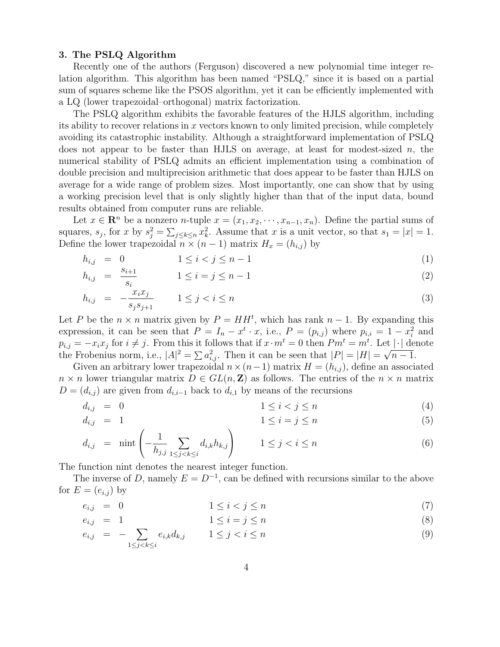## **3. The PSLQ Algorithm**

Recently one of the authors (Ferguson) discovered a new polynomial time integer relation algorithm. This algorithm has been named "PSLQ," since it is based on a partial sum of squares scheme like the PSOS algorithm, yet it can be efficiently implemented with a LQ (lower trapezoidal–orthogonal) matrix factorization.

The PSLQ algorithm exhibits the favorable features of the HJLS algorithm, including its ability to recover relations in x vectors known to only limited precision, while completely avoiding its catastrophic instability. Although a straightforward implementation of PSLQ does not appear to be faster than HJLS on average, at least for modest-sized  $n$ , the numerical stability of PSLQ admits an efficient implementation using a combination of double precision and multiprecision arithmetic that does appear to be faster than HJLS on average for a wide range of problem sizes. Most importantly, one can show that by using a working precision level that is only slightly higher than that of the input data, bound results obtained from computer runs are reliable.

Let  $x \in \mathbb{R}^n$  be a nonzero *n*-tuple  $x = (x_1, x_2, \dots, x_{n-1}, x_n)$ . Define the partial sums of squares,  $s_j$ , for x by  $s_j^2 = \sum_{j \le k \le n} x_k^2$ . Assume that x is a unit vector, so that  $s_1 = |x| = 1$ . Define the lower trapezoidal  $n \times (n-1)$  matrix  $H_x = (h_{i,j})$  by

$$
h_{i,j} = 0 \qquad \qquad 1 \le i < j \le n-1 \tag{1}
$$

$$
h_{i,j} = \frac{s_{i+1}}{s_i} \qquad 1 \le i = j \le n - 1 \tag{2}
$$

$$
h_{i,j} = -\frac{x_i x_j}{s_j s_{j+1}} \qquad 1 \le j < i \le n \tag{3}
$$

Let P be the  $n \times n$  matrix given by  $P = HH^t$ , which has rank  $n-1$ . By expanding this expression, it can be seen that  $P = I_n - x^t \cdot x$ , i.e.,  $P = (p_{i,j})$  where  $p_{i,i} = 1 - x_i^2$  and  $p_{i,j} = -x_i x_j$  for  $i \neq j$ . From this it follows that if  $x \cdot m^t = 0$  then  $Pm^t = m^t$ . Let  $\lfloor \cdot \rfloor$  denote the Frobenius norm, i.e.,  $|A|^2 = \sum a_{i,j}^2$ . Then it can be seen that  $|P| = |H| = \sqrt{n-1}$ .

Given an arbitrary lower trapezoidal  $n \times (n-1)$  matrix  $H = (h_{i,j})$ , define an associated  $n \times n$  lower triangular matrix  $D \in GL(n, \mathbb{Z})$  as follows. The entries of the  $n \times n$  matrix  $D = (d_{i,j})$  are given from  $d_{i,i-1}$  back to  $d_{i,1}$  by means of the recursions

$$
d_{i,j} = 0 \qquad \qquad 1 \le i < j \le n \tag{4}
$$

$$
d_{i,j} = 1 \qquad \qquad 1 \leq i = j \leq n \tag{5}
$$

$$
d_{i,j} = \min \left( -\frac{1}{h_{j,j}} \sum_{1 \le j < k \le i} d_{i,k} h_{k,j} \right) \qquad 1 \le j < i \le n \tag{6}
$$

The function nint denotes the nearest integer function.

The inverse of D, namely  $E = D^{-1}$ , can be defined with recursions similar to the above for  $E = (e_{i,j})$  by

$$
e_{i,j} = 0 \qquad \qquad 1 \le i < j \le n \tag{7}
$$

$$
e_{i,j} = 1 \qquad \qquad 1 \leq i = j \leq n \tag{8}
$$

$$
e_{i,j} = -\sum_{1 \le j < k \le i} e_{i,k} d_{k,j} \qquad 1 \le j < i \le n \tag{9}
$$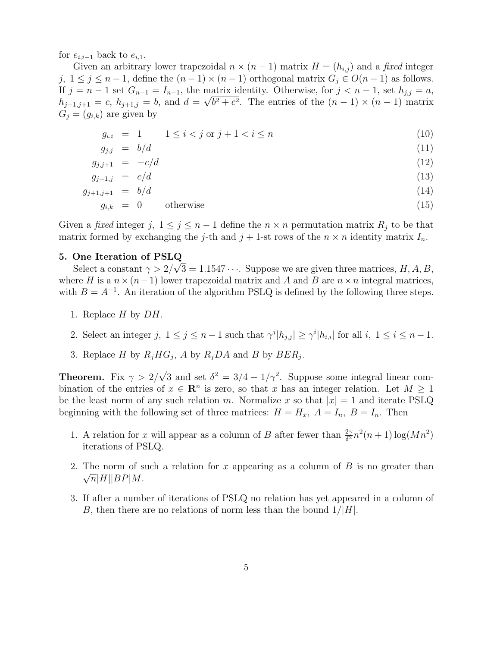for  $e_{i,i-1}$  back to  $e_{i,1}$ .

Given an arbitrary lower trapezoidal  $n \times (n-1)$  matrix  $H = (h_{i,j})$  and a *fixed* integer j,  $1 \le j \le n-1$ , define the  $(n-1) \times (n-1)$  orthogonal matrix  $G_j \in O(n-1)$  as follows. If  $j = n - 1$  set  $G_{n-1} = I_{n-1}$ , the matrix identity. Otherwise, for  $j < n - 1$ , set  $h_{j,j} = a$ ,  $h_{j+1,j+1} = c, h_{j+1,j} = b$ , and  $d = \sqrt{b^2 + c^2}$ . The entries of the  $(n-1) \times (n-1)$  matrix  $G_i = (g_{i,k})$  are given by

$$
g_{i,i} = 1 \t 1 \le i < j \text{ or } j+1 < i \le n \t (10)
$$

$$
g_{j,j} = b/d \tag{11}
$$

$$
g_{j,j+1} = -c/d \tag{12}
$$

$$
g_{j+1,j} = c/d \tag{13}
$$

$$
g_{j+1,j+1} = b/d \tag{14}
$$

$$
g_{i,k} = 0 \qquad \text{otherwise} \tag{15}
$$

Given a *fixed* integer j,  $1 \leq j \leq n-1$  define the  $n \times n$  permutation matrix  $R_j$  to be that matrix formed by exchanging the j-th and  $j + 1$ -st rows of the  $n \times n$  identity matrix  $I_n$ .

# **5. One Iteration of PSLQ**

Select a constant  $\gamma > 2/\sqrt{3} = 1.1547 \cdots$ . Suppose we are given three matrices, H, A, B, where H is a  $n \times (n-1)$  lower trapezoidal matrix and A and B are  $n \times n$  integral matrices, with  $B = A^{-1}$ . An iteration of the algorithm PSLQ is defined by the following three steps.

- 1. Replace  $H$  by  $DH$ .
- 2. Select an integer  $j, 1 \leq j \leq n-1$  such that  $\gamma^{j} |h_{j,j}| \geq \gamma^{i} |h_{i,i}|$  for all  $i, 1 \leq i \leq n-1$ .
- 3. Replace H by  $R_i HG_j$ , A by  $R_i DA$  and B by  $BER_j$ .

**Theorem.** Fix  $\gamma > 2/\sqrt{3}$  and set  $\delta^2 = 3/4 - 1/\gamma^2$ . Suppose some integral linear combination of the entries of  $x \in \mathbb{R}^n$  is zero, so that x has an integer relation. Let  $M \geq 1$ be the least norm of any such relation m. Normalize x so that  $|x| = 1$  and iterate PSLQ beginning with the following set of three matrices:  $H = H_x$ ,  $A = I_n$ ,  $B = I_n$ . Then

- 1. A relation for x will appear as a column of B after fewer than  $\frac{2\gamma}{\delta^2}n^2(n+1)\log(Mn^2)$ iterations of PSLQ.
- 2. The norm of such a relation for x appearing as a column of  $B$  is no greater than  $\sqrt{n}|H||BP|M$ .
- 3. If after a number of iterations of PSLQ no relation has yet appeared in a column of B, then there are no relations of norm less than the bound  $1/|H|$ .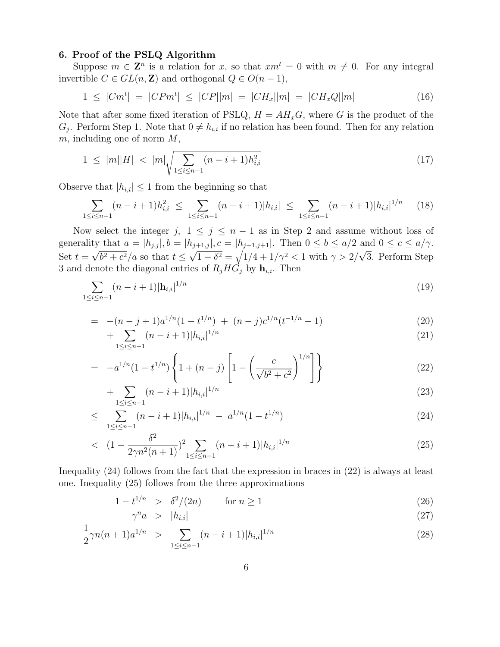# **6. Proof of the PSLQ Algorithm**

Suppose  $m \in \mathbb{Z}^n$  is a relation for x, so that  $xm^t = 0$  with  $m \neq 0$ . For any integral invertible  $C \in GL(n, \mathbb{Z})$  and orthogonal  $Q \in O(n-1)$ ,

$$
1 \leq |Cm^{t}| = |CPm^{t}| \leq |CP||m| = |CH_{x}||m| = |CH_{x}Q||m| \tag{16}
$$

Note that after some fixed iteration of PSLQ,  $H = AH_xG$ , where G is the product of the  $G_j$ . Perform Step 1. Note that  $0 \neq h_{i,i}$  if no relation has been found. Then for any relation  $m$ , including one of norm  $M$ ,

$$
1 \leq |m||H| < |m|\sqrt{\sum_{1 \leq i \leq n-1} (n-i+1)h_{i,i}^2} \tag{17}
$$

Observe that  $|h_{i,i}| \leq 1$  from the beginning so that

$$
\sum_{1 \le i \le n-1} (n-i+1)h_{i,i}^2 \le \sum_{1 \le i \le n-1} (n-i+1)|h_{i,i}| \le \sum_{1 \le i \le n-1} (n-i+1)|h_{i,i}|^{1/n} \tag{18}
$$

Now select the integer j,  $1 \leq j \leq n-1$  as in Step 2 and assume without loss of generality that  $a = |h_{j,j}|$ ,  $b = |h_{j+1,j}|$ ,  $c = |h_{j+1,j+1}|$ . Then  $0 \le b \le a/2$  and  $0 \le c \le a/\gamma$ . Set  $t = \sqrt{b^2 + c^2}/a$  so that  $t \leq \sqrt{1 - \delta^2} = \sqrt{1/4 + 1/\gamma^2} < 1$  with  $\gamma > 2/\sqrt{3}$ . Perform Step 3 and denote the diagonal entries of  $R_i H \dot{G}_i$  by  $\mathbf{h}_{i,i}$ . Then

$$
\sum_{1 \le i \le n-1} (n-i+1)|\mathbf{h}_{i,i}|^{1/n} \tag{19}
$$

$$
= -(n-j+1)a^{1/n}(1-t^{1/n}) + (n-j)c^{1/n}(t^{-1/n}-1)
$$
\n(20)

$$
+\sum_{1\leq i\leq n-1} (n-i+1)|h_{i,i}|^{1/n} \tag{21}
$$

$$
= -a^{1/n}(1-t^{1/n})\left\{1+(n-j)\left[1-\left(\frac{c}{\sqrt{b^2+c^2}}\right)^{1/n}\right]\right\}
$$
(22)

$$
+\sum_{1\leq i\leq n-1} (n-i+1)|h_{i,i}|^{1/n} \tag{23}
$$

$$
\leq \sum_{1 \leq i \leq n-1} (n-i+1)|h_{i,i}|^{1/n} - a^{1/n} (1-t^{1/n}) \tag{24}
$$

$$
\langle (1 - \frac{\delta^2}{2\gamma n^2(n+1)})^2 \sum_{1 \le i \le n-1} (n-i+1) |h_{i,i}|^{1/n} \tag{25}
$$

Inequality (24) follows from the fact that the expression in braces in (22) is always at least one. Inequality (25) follows from the three approximations

$$
1 - t^{1/n} > \delta^2/(2n) \qquad \text{for } n \ge 1
$$
 (26)

$$
\gamma^n a \quad > \quad |h_{i,i}| \tag{27}
$$

$$
\frac{1}{2}\gamma n(n+1)a^{1/n} > \sum_{1 \le i \le n-1} (n-i+1)|h_{i,i}|^{1/n} \tag{28}
$$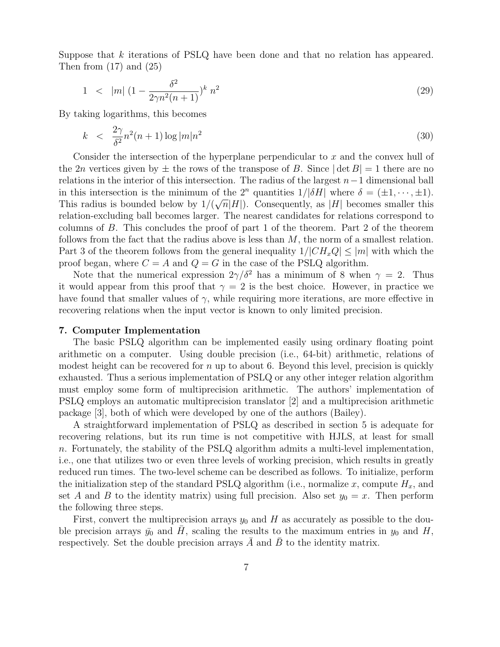Suppose that  $k$  iterations of PSLQ have been done and that no relation has appeared. Then from  $(17)$  and  $(25)$ 

$$
1 < |m| \left(1 - \frac{\delta^2}{2\gamma n^2 (n+1)}\right)^k n^2 \tag{29}
$$

By taking logarithms, this becomes

$$
k < \frac{2\gamma}{\delta^2} n^2(n+1) \log |m| n^2 \tag{30}
$$

Consider the intersection of the hyperplane perpendicular to  $x$  and the convex hull of the 2n vertices given by  $\pm$  the rows of the transpose of B. Since  $|\det B| = 1$  there are no relations in the interior of this intersection. The radius of the largest  $n-1$  dimensional ball in this intersection is the minimum of the  $2^n$  quantities  $1/|\delta H|$  where  $\delta = (\pm 1, \dots, \pm 1)$ . This radius is bounded below by  $1/(\sqrt{n}|H|)$ . Consequently, as |H| becomes smaller this relation-excluding ball becomes larger. The nearest candidates for relations correspond to columns of B. This concludes the proof of part 1 of the theorem. Part 2 of the theorem follows from the fact that the radius above is less than M, the norm of a smallest relation. Part 3 of the theorem follows from the general inequality  $1/|CH_xQ| \le |m|$  with which the proof began, where  $C = A$  and  $Q = G$  in the case of the PSLQ algorithm.

Note that the numerical expression  $2\gamma/\delta^2$  has a minimum of 8 when  $\gamma = 2$ . Thus it would appear from this proof that  $\gamma = 2$  is the best choice. However, in practice we have found that smaller values of  $\gamma$ , while requiring more iterations, are more effective in recovering relations when the input vector is known to only limited precision.

### **7. Computer Implementation**

The basic PSLQ algorithm can be implemented easily using ordinary floating point arithmetic on a computer. Using double precision (i.e., 64-bit) arithmetic, relations of modest height can be recovered for  $n \text{ up to about } 6$ . Beyond this level, precision is quickly exhausted. Thus a serious implementation of PSLQ or any other integer relation algorithm must employ some form of multiprecision arithmetic. The authors' implementation of PSLQ employs an automatic multiprecision translator [2] and a multiprecision arithmetic package [3], both of which were developed by one of the authors (Bailey).

A straightforward implementation of PSLQ as described in section 5 is adequate for recovering relations, but its run time is not competitive with HJLS, at least for small n. Fortunately, the stability of the PSLQ algorithm admits a multi-level implementation, i.e., one that utilizes two or even three levels of working precision, which results in greatly reduced run times. The two-level scheme can be described as follows. To initialize, perform the initialization step of the standard PSLQ algorithm (i.e., normalize x, compute  $H_x$ , and set A and B to the identity matrix) using full precision. Also set  $y_0 = x$ . Then perform the following three steps.

First, convert the multiprecision arrays  $y_0$  and H as accurately as possible to the double precision arrays  $\bar{y}_0$  and H, scaling the results to the maximum entries in  $y_0$  and H, respectively. Set the double precision arrays  $A$  and  $B$  to the identity matrix.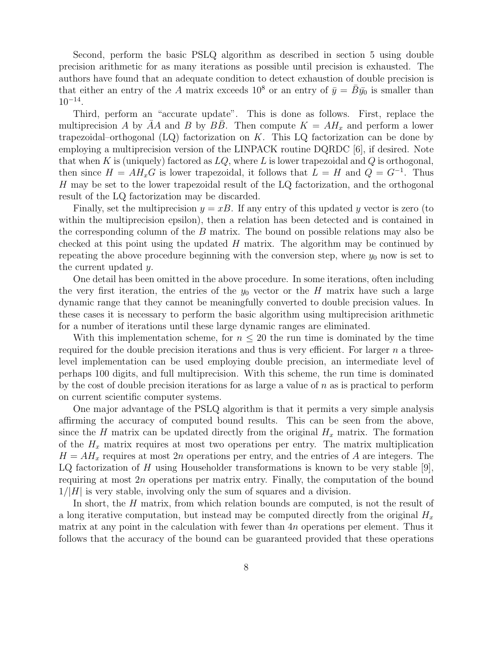Second, perform the basic PSLQ algorithm as described in section 5 using double precision arithmetic for as many iterations as possible until precision is exhausted. The authors have found that an adequate condition to detect exhaustion of double precision is that either an entry of the A matrix exceeds 10<sup>8</sup> or an entry of  $\bar{y} = \bar{B}\bar{y_0}$  is smaller than  $10^{-14}$ .

Third, perform an "accurate update". This is done as follows. First, replace the multiprecision A by AA and B by BB. Then compute  $K = AH_x$  and perform a lower trapezoidal–orthogonal  $(LQ)$  factorization on K. This LQ factorization can be done by employing a multiprecision version of the LINPACK routine DQRDC [6], if desired. Note that when K is (uniquely) factored as  $LQ$ , where L is lower trapezoidal and Q is orthogonal, then since  $H = AH_xG$  is lower trapezoidal, it follows that  $L = H$  and  $Q = G^{-1}$ . Thus  $H$  may be set to the lower trapezoidal result of the LQ factorization, and the orthogonal result of the LQ factorization may be discarded.

Finally, set the multiprecision  $y = xB$ . If any entry of this updated y vector is zero (to within the multiprecision epsilon), then a relation has been detected and is contained in the corresponding column of the B matrix. The bound on possible relations may also be checked at this point using the updated  $H$  matrix. The algorithm may be continued by repeating the above procedure beginning with the conversion step, where  $y_0$  now is set to the current updated y.

One detail has been omitted in the above procedure. In some iterations, often including the very first iteration, the entries of the  $y_0$  vector or the H matrix have such a large dynamic range that they cannot be meaningfully converted to double precision values. In these cases it is necessary to perform the basic algorithm using multiprecision arithmetic for a number of iterations until these large dynamic ranges are eliminated.

With this implementation scheme, for  $n \leq 20$  the run time is dominated by the time required for the double precision iterations and thus is very efficient. For larger  $n$  a threelevel implementation can be used employing double precision, an intermediate level of perhaps 100 digits, and full multiprecision. With this scheme, the run time is dominated by the cost of double precision iterations for as large a value of  $n$  as is practical to perform on current scientific computer systems.

One major advantage of the PSLQ algorithm is that it permits a very simple analysis affirming the accuracy of computed bound results. This can be seen from the above, since the H matrix can be updated directly from the original  $H_x$  matrix. The formation of the  $H_x$  matrix requires at most two operations per entry. The matrix multiplication  $H = AH_x$  requires at most 2n operations per entry, and the entries of A are integers. The LQ factorization of H using Householder transformations is known to be very stable [9], requiring at most 2n operations per matrix entry. Finally, the computation of the bound  $1/|H|$  is very stable, involving only the sum of squares and a division.

In short, the H matrix, from which relation bounds are computed, is not the result of a long iterative computation, but instead may be computed directly from the original  $H_x$ matrix at any point in the calculation with fewer than 4n operations per element. Thus it follows that the accuracy of the bound can be guaranteed provided that these operations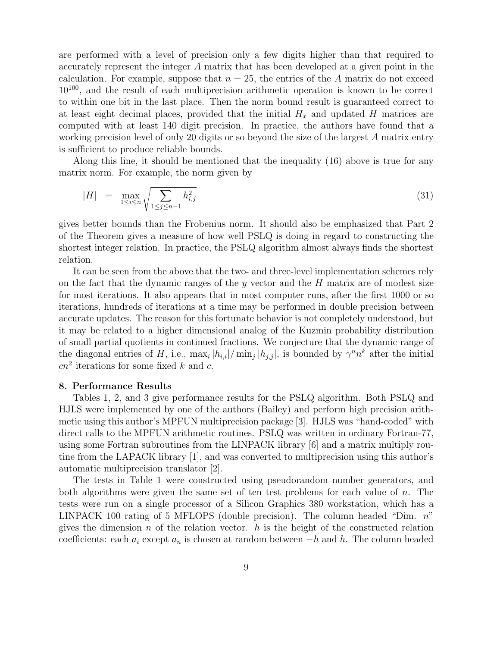are performed with a level of precision only a few digits higher than that required to accurately represent the integer A matrix that has been developed at a given point in the calculation. For example, suppose that  $n = 25$ , the entries of the A matrix do not exceed  $10^{100}$ , and the result of each multiprecision arithmetic operation is known to be correct to within one bit in the last place. Then the norm bound result is guaranteed correct to at least eight decimal places, provided that the initial  $H_x$  and updated H matrices are computed with at least 140 digit precision. In practice, the authors have found that a working precision level of only 20 digits or so beyond the size of the largest A matrix entry is sufficient to produce reliable bounds.

Along this line, it should be mentioned that the inequality (16) above is true for any matrix norm. For example, the norm given by

$$
|H| = \max_{1 \le i \le n} \sqrt{\sum_{1 \le j \le n-1} h_{i,j}^2}
$$
\n(31)

gives better bounds than the Frobenius norm. It should also be emphasized that Part 2 of the Theorem gives a measure of how well PSLQ is doing in regard to constructing the shortest integer relation. In practice, the PSLQ algorithm almost always finds the shortest relation.

It can be seen from the above that the two- and three-level implementation schemes rely on the fact that the dynamic ranges of the  $y$  vector and the  $H$  matrix are of modest size for most iterations. It also appears that in most computer runs, after the first 1000 or so iterations, hundreds of iterations at a time may be performed in double precision between accurate updates. The reason for this fortunate behavior is not completely understood, but it may be related to a higher dimensional analog of the Kuzmin probability distribution of small partial quotients in continued fractions. We conjecture that the dynamic range of the diagonal entries of H, i.e.,  $\max_i |h_{i,i}| / \min_j |h_{j,j}|$ , is bounded by  $\gamma^n n^k$  after the initial  $cn^2$  iterations for some fixed k and c.

#### **8. Performance Results**

Tables 1, 2, and 3 give performance results for the PSLQ algorithm. Both PSLQ and HJLS were implemented by one of the authors (Bailey) and perform high precision arithmetic using this author's MPFUN multiprecision package [3]. HJLS was "hand-coded" with direct calls to the MPFUN arithmetic routines. PSLQ was written in ordinary Fortran-77, using some Fortran subroutines from the LINPACK library [6] and a matrix multiply routine from the LAPACK library [1], and was converted to multiprecision using this author's automatic multiprecision translator [2].

The tests in Table 1 were constructed using pseudorandom number generators, and both algorithms were given the same set of ten test problems for each value of  $n$ . The tests were run on a single processor of a Silicon Graphics 380 workstation, which has a LINPACK 100 rating of 5 MFLOPS (double precision). The column headed "Dim. n" gives the dimension n of the relation vector.  $h$  is the height of the constructed relation coefficients: each  $a_i$  except  $a_n$  is chosen at random between  $-h$  and h. The column headed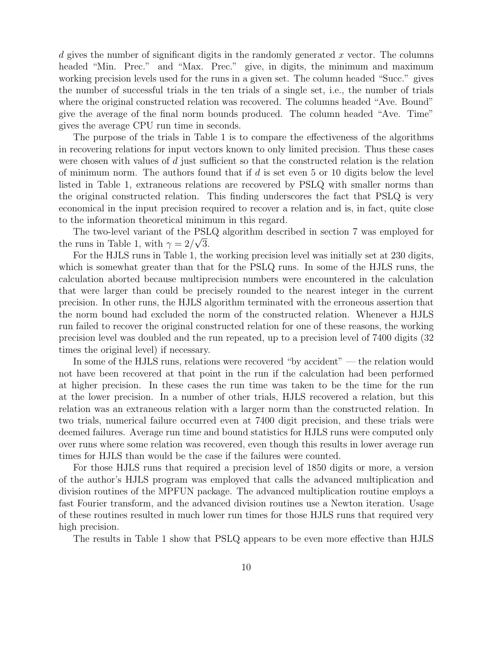d gives the number of significant digits in the randomly generated x vector. The columns headed "Min. Prec." and "Max. Prec." give, in digits, the minimum and maximum working precision levels used for the runs in a given set. The column headed "Succ." gives the number of successful trials in the ten trials of a single set, i.e., the number of trials where the original constructed relation was recovered. The columns headed "Ave. Bound" give the average of the final norm bounds produced. The column headed "Ave. Time" gives the average CPU run time in seconds.

The purpose of the trials in Table 1 is to compare the effectiveness of the algorithms in recovering relations for input vectors known to only limited precision. Thus these cases were chosen with values of d just sufficient so that the constructed relation is the relation of minimum norm. The authors found that if  $d$  is set even 5 or 10 digits below the level listed in Table 1, extraneous relations are recovered by PSLQ with smaller norms than the original constructed relation. This finding underscores the fact that PSLQ is very economical in the input precision required to recover a relation and is, in fact, quite close to the information theoretical minimum in this regard.

The two-level variant of the PSLQ algorithm described in section 7 was employed for the runs in Table 1, with  $\gamma = 2/\sqrt{3}$ .

For the HJLS runs in Table 1, the working precision level was initially set at 230 digits, which is somewhat greater than that for the PSLQ runs. In some of the HJLS runs, the calculation aborted because multiprecision numbers were encountered in the calculation that were larger than could be precisely rounded to the nearest integer in the current precision. In other runs, the HJLS algorithm terminated with the erroneous assertion that the norm bound had excluded the norm of the constructed relation. Whenever a HJLS run failed to recover the original constructed relation for one of these reasons, the working precision level was doubled and the run repeated, up to a precision level of 7400 digits (32 times the original level) if necessary.

In some of the HJLS runs, relations were recovered "by accident" — the relation would not have been recovered at that point in the run if the calculation had been performed at higher precision. In these cases the run time was taken to be the time for the run at the lower precision. In a number of other trials, HJLS recovered a relation, but this relation was an extraneous relation with a larger norm than the constructed relation. In two trials, numerical failure occurred even at 7400 digit precision, and these trials were deemed failures. Average run time and bound statistics for HJLS runs were computed only over runs where some relation was recovered, even though this results in lower average run times for HJLS than would be the case if the failures were counted.

For those HJLS runs that required a precision level of 1850 digits or more, a version of the author's HJLS program was employed that calls the advanced multiplication and division routines of the MPFUN package. The advanced multiplication routine employs a fast Fourier transform, and the advanced division routines use a Newton iteration. Usage of these routines resulted in much lower run times for those HJLS runs that required very high precision.

The results in Table 1 show that PSLQ appears to be even more effective than HJLS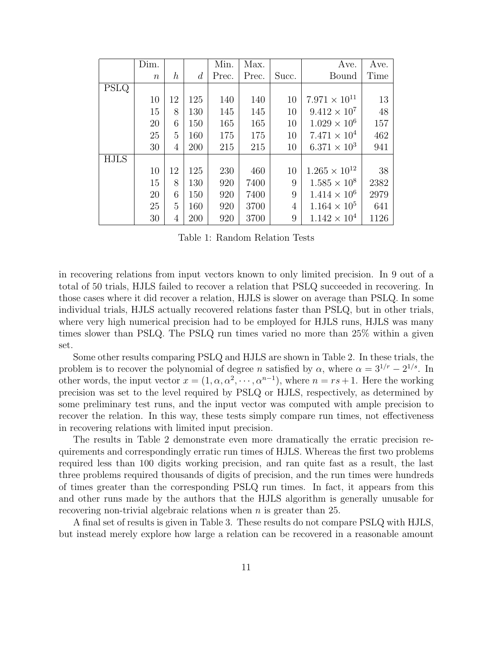|             | Dim.             |                  |                  | Min.  | Max.  |                | Ave.                   | Ave. |
|-------------|------------------|------------------|------------------|-------|-------|----------------|------------------------|------|
|             | $\boldsymbol{n}$ | $\boldsymbol{h}$ | $\boldsymbol{d}$ | Prec. | Prec. | Succ.          | Bound                  | Time |
| PSLQ        |                  |                  |                  |       |       |                |                        |      |
|             | 10               | 12               | 125              | 140   | 140   | 10             | $7.971 \times 10^{11}$ | 13   |
|             | 15               | 8                | 130              | 145   | 145   | 10             | $9.412 \times 10^7$    | 48   |
|             | 20               | 6                | 150              | 165   | 165   | 10             | $1.029 \times 10^6$    | 157  |
|             | 25               | 5                | 160              | 175   | 175   | 10             | $7.471 \times 10^{4}$  | 462  |
|             | 30               | 4                | 200              | 215   | 215   | 10             | $6.371 \times 10^{3}$  | 941  |
| <b>HJLS</b> |                  |                  |                  |       |       |                |                        |      |
|             | 10               | 12               | 125              | 230   | 460   | 10             | $1.265 \times 10^{12}$ | 38   |
|             | 15               | 8                | 130              | 920   | 7400  | 9              | $1.585 \times 10^8$    | 2382 |
|             | 20               | 6                | 150              | 920   | 7400  | 9              | $1.414 \times 10^{6}$  | 2979 |
|             | 25               | 5                | 160              | 920   | 3700  | $\overline{4}$ | $1.164 \times 10^5$    | 641  |
|             | 30               | 4                | 200              | 920   | 3700  | 9              | $1.142 \times 10^{4}$  | 1126 |

Table 1: Random Relation Tests

in recovering relations from input vectors known to only limited precision. In 9 out of a total of 50 trials, HJLS failed to recover a relation that PSLQ succeeded in recovering. In those cases where it did recover a relation, HJLS is slower on average than PSLQ. In some individual trials, HJLS actually recovered relations faster than PSLQ, but in other trials, where very high numerical precision had to be employed for HJLS runs, HJLS was many times slower than PSLQ. The PSLQ run times varied no more than 25% within a given set.

Some other results comparing PSLQ and HJLS are shown in Table 2. In these trials, the problem is to recover the polynomial of degree *n* satisfied by  $\alpha$ , where  $\alpha = 3^{1/r} - 2^{1/s}$ . In other words, the input vector  $x = (1, \alpha, \alpha^2, \dots, \alpha^{n-1})$ , where  $n = rs + 1$ . Here the working precision was set to the level required by PSLQ or HJLS, respectively, as determined by some preliminary test runs, and the input vector was computed with ample precision to recover the relation. In this way, these tests simply compare run times, not effectiveness in recovering relations with limited input precision.

The results in Table 2 demonstrate even more dramatically the erratic precision requirements and correspondingly erratic run times of HJLS. Whereas the first two problems required less than 100 digits working precision, and ran quite fast as a result, the last three problems required thousands of digits of precision, and the run times were hundreds of times greater than the corresponding PSLQ run times. In fact, it appears from this and other runs made by the authors that the HJLS algorithm is generally unusable for recovering non-trivial algebraic relations when n is greater than 25.

A final set of results is given in Table 3. These results do not compare PSLQ with HJLS, but instead merely explore how large a relation can be recovered in a reasonable amount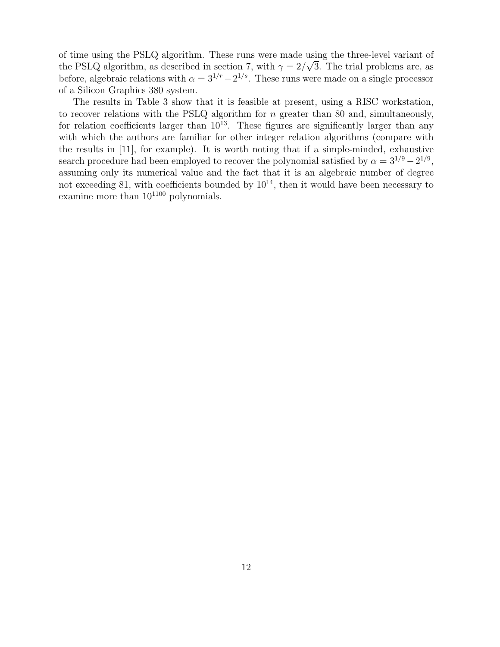of time using the PSLQ algorithm. These runs were made using the three-level variant of the PSLQ algorithm, as described in section 7, with  $\gamma = 2/\sqrt{3}$ . The trial problems are, as before, algebraic relations with  $\alpha = 3^{1/r} - 2^{1/s}$ . These runs were made on a single processor of a Silicon Graphics 380 system.

The results in Table 3 show that it is feasible at present, using a RISC workstation, to recover relations with the PSLQ algorithm for  $n$  greater than 80 and, simultaneously, for relation coefficients larger than  $10^{13}$ . These figures are significantly larger than any with which the authors are familiar for other integer relation algorithms (compare with the results in [11], for example). It is worth noting that if a simple-minded, exhaustive search procedure had been employed to recover the polynomial satisfied by  $\alpha = 3^{1/9} - 2^{1/9}$ , assuming only its numerical value and the fact that it is an algebraic number of degree not exceeding 81, with coefficients bounded by  $10^{14}$ , then it would have been necessary to examine more than  $10^{1100}$  polynomials.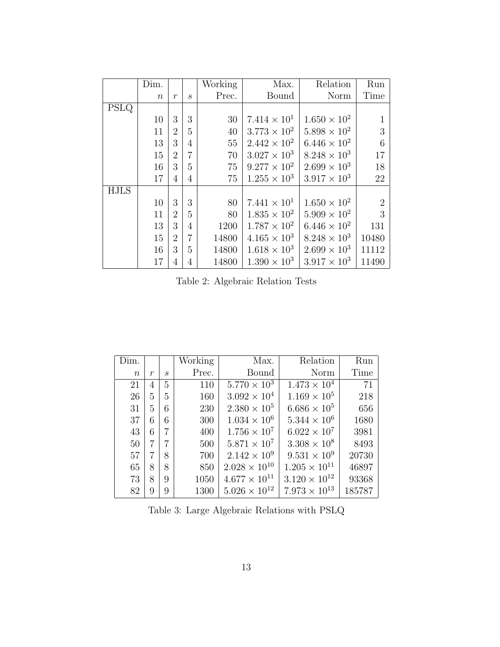|             | Dim.   |                  |                             | <b>Working</b> | Max.                  | Relation              | Run            |
|-------------|--------|------------------|-----------------------------|----------------|-----------------------|-----------------------|----------------|
|             | $\, n$ | $\boldsymbol{r}$ | $\mathcal{S}_{\mathcal{S}}$ | Prec.          | Bound                 | Norm                  | Time           |
| <b>PSLQ</b> |        |                  |                             |                |                       |                       |                |
|             | 10     | 3                | 3                           | 30             | $7.414 \times 10^{1}$ | $1.650 \times 10^{2}$ | 1              |
|             | 11     | $\overline{2}$   | 5                           | 40             | $3.773 \times 10^{2}$ | $5.898 \times 10^{2}$ | 3              |
|             | 13     | 3                | 4                           | 55             | $2.442 \times 10^{2}$ | $6.446 \times 10^{2}$ | 6              |
|             | 15     | $\overline{2}$   | $\overline{7}$              | 70             | $3.027 \times 10^{3}$ | $8.248 \times 10^3$   | 17             |
|             | 16     | 3                | 5                           | 75             | $9.277 \times 10^{2}$ | $2.699 \times 10^{3}$ | 18             |
|             | 17     | 4                | 4                           | 75             | $1.255 \times 10^3$   | $3.917 \times 10^{3}$ | 22             |
| <b>HJLS</b> |        |                  |                             |                |                       |                       |                |
|             | 10     | 3                | 3                           | 80             | $7.441 \times 10^{1}$ | $1.650 \times 10^{2}$ | $\overline{2}$ |
|             | 11     | $\overline{2}$   | 5                           | 80             | $1.835 \times 10^{2}$ | $5.909 \times 10^{2}$ | 3              |
|             | 13     | 3                | 4                           | 1200           | $1.787 \times 10^{2}$ | $6.446 \times 10^{2}$ | 131            |
|             | 15     | $\overline{2}$   | $\overline{7}$              | 14800          | $4.165 \times 10^3$   | $8.248 \times 10^{3}$ | 10480          |
|             | 16     | 3                | 5                           | 14800          | $1.618 \times 10^{3}$ | $2.699 \times 10^{3}$ | 11112          |
|             | 17     | 4                | 4                           | 14800          | $1.390 \times 10^{3}$ | $3.917 \times 10^{3}$ | 11490          |

Table 2: Algebraic Relation Tests

| Dim.             |                  |    | Working | Max.                   | Relation               | Run    |
|------------------|------------------|----|---------|------------------------|------------------------|--------|
| $\boldsymbol{n}$ | $\boldsymbol{r}$ | S. | Prec.   | Bound                  | Norm                   | Time   |
| 21               | 4                | 5  | 110     | $5.770 \times 10^{3}$  | $1.473 \times 10^{4}$  | 71     |
| 26               | 5                | 5  | 160     | $3.092 \times 10^{4}$  | $1.169 \times 10^5$    | 218    |
| 31               | 5                | 6  | 230     | $2.380 \times 10^5$    | $6.686 \times 10^{5}$  | 656    |
| 37               | 6                | 6  | 300     | $1.034 \times 10^6$    | $5.344 \times 10^6$    | 1680   |
| 43               | 6                | 7  | 400     | $1.756 \times 10^{7}$  | $6.022 \times 10^{7}$  | 3981   |
| 50               | 7                |    | 500     | $5.871 \times 10^{7}$  | $3.308 \times 10^8$    | 8493   |
| 57               |                  | 8  | 700     | $2.142 \times 10^9$    | $9.531 \times 10^{9}$  | 20730  |
| 65               | 8                | 8  | 850     | $2.028 \times 10^{10}$ | $1.205 \times 10^{11}$ | 46897  |
| 73               | 8                | 9  | 1050    | $4.677 \times 10^{11}$ | $3.120 \times 10^{12}$ | 93368  |
| 82               | 9                | 9  | 1300    | $5.026 \times 10^{12}$ | $7.973 \times 10^{13}$ | 185787 |

Table 3: Large Algebraic Relations with PSLQ